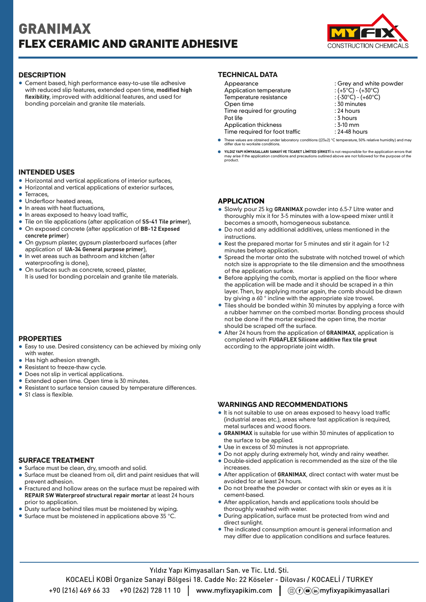# GRANIMAX FLEX CERAMIC AND GRANITE ADHESIVE



Cement based, high performance easy-to-use tile adhesive with reduced slip features, extended open time, **modified high flexibility**, improved with additional features, and used for bonding porcelain and granite tile materials.

# **INTENDED USES**

- Horizontal and vertical applications of interior surfaces,
- Horizontal and vertical applications of exterior surfaces,
- $\blacksquare$ Terraces,
- **•** Underfloor heated areas,
- $\bullet$  In areas with heat fluctuations,
- $\bullet$  In areas exposed to heavy load traffic,
- Tile on tile applications (after application of **SS-41 Tile primer**),
- On exposed concrete (after application of **BB-12 Exposed concrete primer**)
- On gypsum plaster, gypsum plasterboard surfaces (after application of **UA-34 General purpose primer**),
- In wet areas such as bathroom and kitchen (after waterproofing is done),
- On surfaces such as concrete, screed, plaster, It is used for bonding porcelain and granite tile materials.

# **PROPERTIES**

- Easy to use. Desired consistency can be achieved by mixing only according to the appropriate joint width. with water.
- Has high adhesion strength.
- Resistant to freeze-thaw cycle.
- Does not slip in vertical applications.  $\bullet$
- Extended open time. Open time is 30 minutes.
- Resistant to surface tension caused by temperature differences.
- S1 class is flexible.

# **SURFACE TREATMENT**

- Surface must be clean, dry, smooth and solid.
- Surface must be cleaned from oil, dirt and paint residues that will prevent adhesion.
- Fractured and hollow areas on the surface must be repaired with **REPAIR SW Waterproof structural repair mortar** at least 24 hours prior to application.
- Dusty surface behind tiles must be moistened by wiping.
- Surface must be moistened in applications above 35 °C.

# **DESCRIPTION TECHNICAL DATA**

| Appearance                     | : Grey and white powder             |
|--------------------------------|-------------------------------------|
| Application temperature        | : $(+5^{\circ}C) - (+30^{\circ}C)$  |
| Temperature resistance         | : $(-30^{\circ}C) - (+60^{\circ}C)$ |
| Open time                      | : 30 minutes                        |
| Time required for grouting     | $: 24$ hours                        |
| Pot life                       | $: 3$ hours                         |
| <b>Application thickness</b>   | $: 3-10$ mm                         |
| Time required for foot traffic | : 24-48 hours                       |
|                                |                                     |

- These values are obtained under laboratory conditions ((23±2) °C temperature, 50% relative humidity) and may differ due to worksite conditions.
- **YILDIZ YAPI KİMYASALLARI SANAYİ VE TİCARET LİMİTED ŞİRKETİ** is not responsible for the application errors that<br>may arise if the application conditions and precautions outlined above are not followed for the purpose of the production in the application condition<br>product.

### **APPLICATION**

- Slowly pour 25 kg **GRANIMAX** powder into 6.5-7 Litre water and thoroughly mix it for 3-5 minutes with a low-speed mixer until it becomes a smooth, homogeneous substance.
- Do not add any additional additives, unless mentioned in the instructions.
- Rest the prepared mortar for 5 minutes and stir it again for 1-2 minutes before application.
- Spread the mortar onto the substrate with notched trowel of which notch size is appropriate to the tile dimension and the smoothness of the application surface.
- Before applying the comb, mortar is applied on the floor where the application will be made and it should be scraped in a thin layer. Then, by applying mortar again, the comb should be drawn by giving a 60 ° incline with the appropriate size trowel.
- Tiles should be bonded within 30 minutes by applying a force with a rubber hammer on the combed mortar. Bonding process should not be done if the mortar expired the open time, the mortar should be scraped off the surface.
- After 24 hours from the application of **GRANIMAX**, application is completed with **FUGAFLEX Silicone additive flex tile grout**

#### **WARNINGS AND RECOMMENDATIONS**

- It is not suitable to use on areas exposed to heavy load traffic (industrial areas etc.), areas where fast application is required, metal surfaces and wood floors.
- **GRANIMAX** is suitable for use within 30 minutes of application to the surface to be applied.
- Use in excess of 30 minutes is not appropriate.
- Do not apply during extremely hot, windy and rainy weather.
- Double-sided application is recommended as the size of the tile increases.
- After application of **GRANIMAX**, direct contact with water must be avoided for at least 24 hours.
- Do not breathe the powder or contact with skin or eyes as it is cement-based.
- After application, hands and applications tools should be thoroughly washed with water.
- During application, surface must be protected from wind and direct sunlight.
- The indicated consumption amount is general information and may differ due to application conditions and surface features.

Yıldız Yapı Kimyasalları San. ve Tic. Ltd. Şti.

KOCAELİ KOBİ Organize Sanayi Bölgesi 18. Cadde No: 22 Köseler - Dilovası / KOCAELİ / TURKEY

+90 (216) 469 66 33 +90 (262) 728 11 10  $\parallel$  www.myfixyapikim.com  $\parallel$  ( $\circledcirc$  ( $\circ$ ) myfixyapikimyasallari